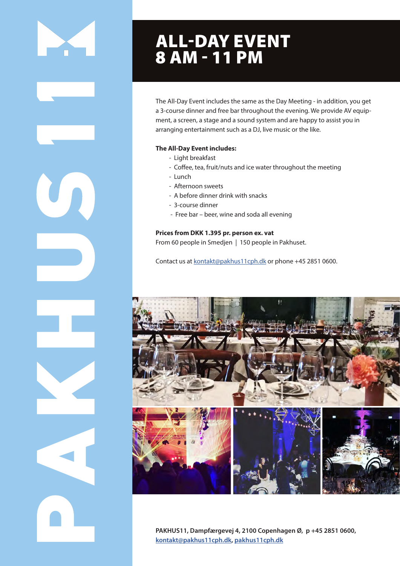# ALL-DAY EVENT 8 AM - 11 PM

The All-Day Event includes the same as the Day Meeting - in addition, you get a 3-course dinner and free bar throughout the evening. We provide AV equipment, a screen, a stage and a sound system and are happy to assist you in arranging entertainment such as a DJ, live music or the like.

#### **The All-Day Event includes:**

- Light breakfast
- Coffee, tea, fruit/nuts and ice water throughout the meeting
- Lunch
- Afternoon sweets
- A before dinner drink with snacks
- 3-course dinner
- Free bar beer, wine and soda all evening

### **Prices from DKK 1.395 pr. person ex. vat**

From 60 people in Smedjen | 150 people in Pakhuset.

Contact us at kontakt@pakhus11cph.dk or phone +45 2851 0600.



**PAKHUS11, Dampfærgevej 4, 2100 Copenhagen Ø, p +45 2851 0600, kontakt@pakhus11cph.dk, pakhus11cph.dk**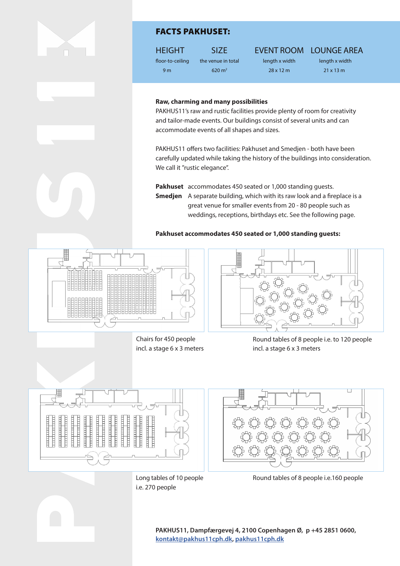

# FACTS PAKHUSET:

HEIGHT SIZE EVENT ROOM LOUNGE AREA

floor-to-ceiling the venue in total length x width length x width 9 m 620 m<sup>2</sup> 28 x 12 m 21 x 13 m

#### **Raw, charming and many possibilities**

PAKHUS11's raw and rustic facilities provide plenty of room for creativity and tailor-made events. Our buildings consist of several units and can accommodate events of all shapes and sizes.

PAKHUS11 offers two facilities: Pakhuset and Smedjen - both have been carefully updated while taking the history of the buildings into consideration. We call it "rustic elegance".

**Pakhuset** accommodates 450 seated or 1,000 standing guests. **Smedjen** A separate building, which with its raw look and a fireplace is a **SHOWARDSHOW SET-UP** great venue for smaller events from 20 - 80 people such as weddings, receptions, birthdays etc. See the following page.

**Pakhuset accommodates 450 seated or 1,000 standing guests:** 



School Chairs for 450 people incl. a stage 6 x 3 meters



Round tables of 8 people i.e. to 120 people incl. a stage 6 x 3 meters



Long tables of 10 people **de lange borde borde borde borde borde** borde borde borde and til 270 personer **Long tables** i.e. 270 people



Round tables of 8 people i.e.160 people

**PAKHUS11, Dampfærgevej 4, 2100 Copenhagen Ø, p +45 2851 0600, kontakt@pakhus11cph.dk, pakhus11cph.dk**